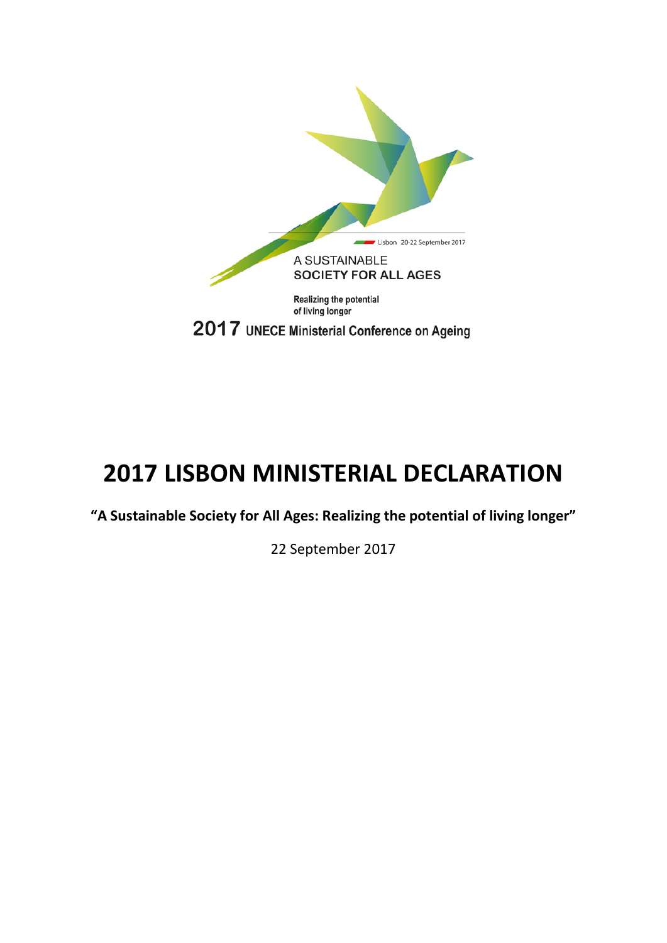

# **2017 LISBON MINISTERIAL DECLARATION**

**"A Sustainable Society for All Ages: Realizing the potential of living longer"**

22 September 2017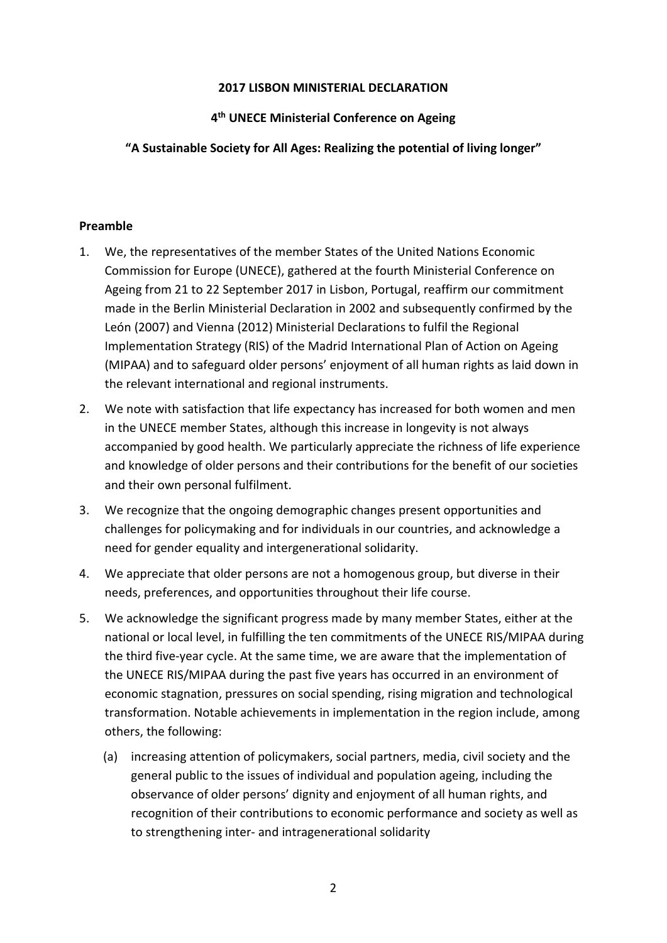#### **2017 LISBON MINISTERIAL DECLARATION**

# **4th UNECE Ministerial Conference on Ageing**

# **"A Sustainable Society for All Ages: Realizing the potential of living longer"**

## **Preamble**

- 1. We, the representatives of the member States of the United Nations Economic Commission for Europe (UNECE), gathered at the fourth Ministerial Conference on Ageing from 21 to 22 September 2017 in Lisbon, Portugal, reaffirm our commitment made in the Berlin Ministerial Declaration in 2002 and subsequently confirmed by the León (2007) and Vienna (2012) Ministerial Declarations to fulfil the Regional Implementation Strategy (RIS) of the Madrid International Plan of Action on Ageing (MIPAA) and to safeguard older persons' enjoyment of all human rights as laid down in the relevant international and regional instruments.
- 2. We note with satisfaction that life expectancy has increased for both women and men in the UNECE member States, although this increase in longevity is not always accompanied by good health. We particularly appreciate the richness of life experience and knowledge of older persons and their contributions for the benefit of our societies and their own personal fulfilment.
- 3. We recognize that the ongoing demographic changes present opportunities and challenges for policymaking and for individuals in our countries, and acknowledge a need for gender equality and intergenerational solidarity.
- 4. We appreciate that older persons are not a homogenous group, but diverse in their needs, preferences, and opportunities throughout their life course.
- 5. We acknowledge the significant progress made by many member States, either at the national or local level, in fulfilling the ten commitments of the UNECE RIS/MIPAA during the third five-year cycle. At the same time, we are aware that the implementation of the UNECE RIS/MIPAA during the past five years has occurred in an environment of economic stagnation, pressures on social spending, rising migration and technological transformation. Notable achievements in implementation in the region include, among others, the following:
	- (a) increasing attention of policymakers, social partners, media, civil society and the general public to the issues of individual and population ageing, including the observance of older persons' dignity and enjoyment of all human rights, and recognition of their contributions to economic performance and society as well as to strengthening inter- and intragenerational solidarity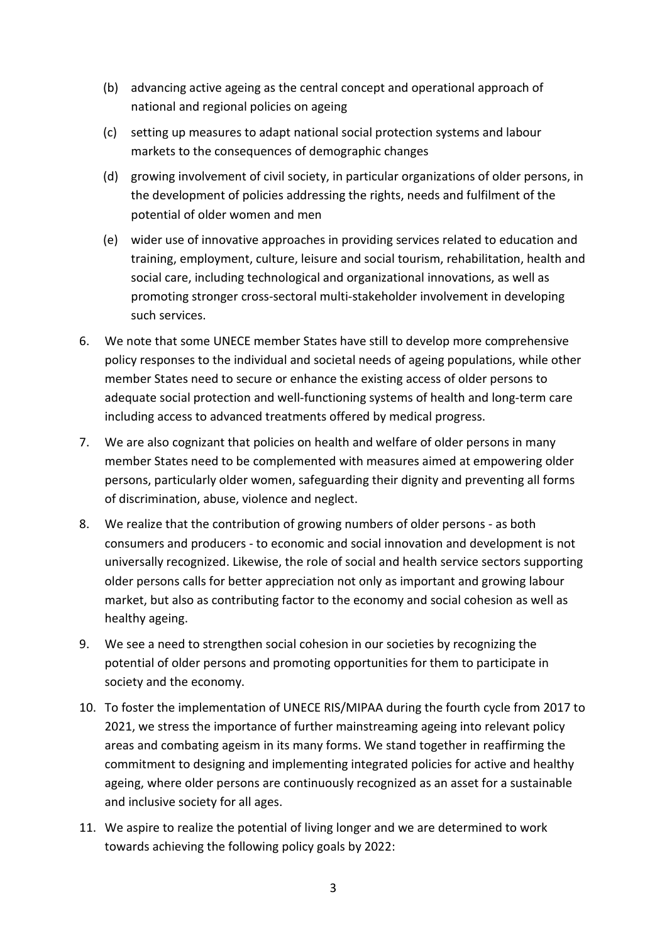- (b) advancing active ageing as the central concept and operational approach of national and regional policies on ageing
- (c) setting up measures to adapt national social protection systems and labour markets to the consequences of demographic changes
- (d) growing involvement of civil society, in particular organizations of older persons, in the development of policies addressing the rights, needs and fulfilment of the potential of older women and men
- (e) wider use of innovative approaches in providing services related to education and training, employment, culture, leisure and social tourism, rehabilitation, health and social care, including technological and organizational innovations, as well as promoting stronger cross-sectoral multi-stakeholder involvement in developing such services.
- 6. We note that some UNECE member States have still to develop more comprehensive policy responses to the individual and societal needs of ageing populations, while other member States need to secure or enhance the existing access of older persons to adequate social protection and well-functioning systems of health and long-term care including access to advanced treatments offered by medical progress.
- 7. We are also cognizant that policies on health and welfare of older persons in many member States need to be complemented with measures aimed at empowering older persons, particularly older women, safeguarding their dignity and preventing all forms of discrimination, abuse, violence and neglect.
- 8. We realize that the contribution of growing numbers of older persons as both consumers and producers - to economic and social innovation and development is not universally recognized. Likewise, the role of social and health service sectors supporting older persons calls for better appreciation not only as important and growing labour market, but also as contributing factor to the economy and social cohesion as well as healthy ageing.
- 9. We see a need to strengthen social cohesion in our societies by recognizing the potential of older persons and promoting opportunities for them to participate in society and the economy.
- 10. To foster the implementation of UNECE RIS/MIPAA during the fourth cycle from 2017 to 2021, we stress the importance of further mainstreaming ageing into relevant policy areas and combating ageism in its many forms. We stand together in reaffirming the commitment to designing and implementing integrated policies for active and healthy ageing, where older persons are continuously recognized as an asset for a sustainable and inclusive society for all ages.
- 11. We aspire to realize the potential of living longer and we are determined to work towards achieving the following policy goals by 2022: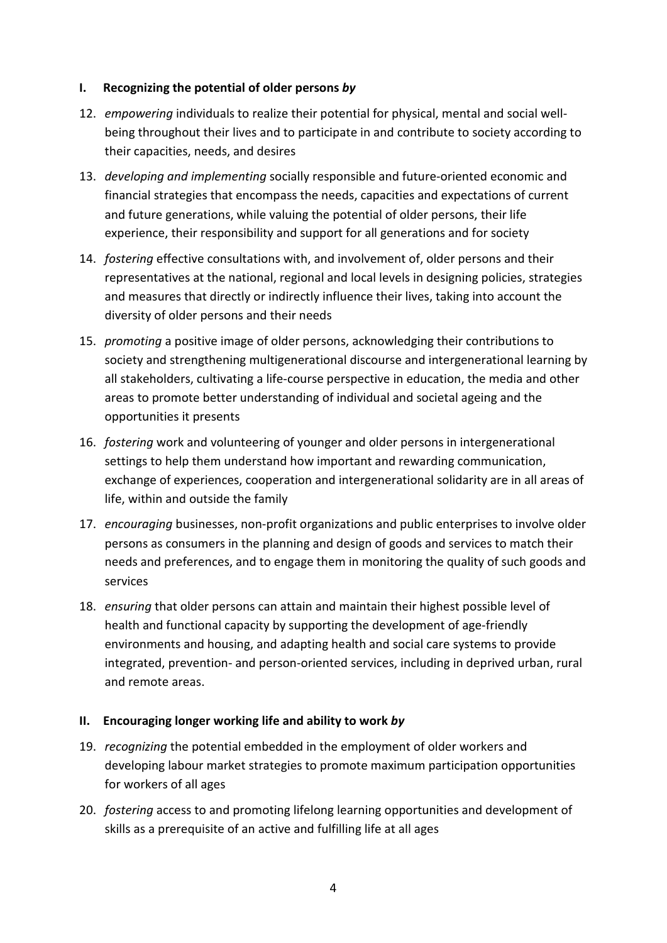## **I. Recognizing the potential of older persons** *by*

- 12. *empowering* individuals to realize their potential for physical, mental and social wellbeing throughout their lives and to participate in and contribute to society according to their capacities, needs, and desires
- 13. *developing and implementing* socially responsible and future-oriented economic and financial strategies that encompass the needs, capacities and expectations of current and future generations, while valuing the potential of older persons, their life experience, their responsibility and support for all generations and for society
- 14. *fostering* effective consultations with, and involvement of, older persons and their representatives at the national, regional and local levels in designing policies, strategies and measures that directly or indirectly influence their lives, taking into account the diversity of older persons and their needs
- 15. *promoting* a positive image of older persons, acknowledging their contributions to society and strengthening multigenerational discourse and intergenerational learning by all stakeholders, cultivating a life-course perspective in education, the media and other areas to promote better understanding of individual and societal ageing and the opportunities it presents
- 16. *fostering* work and volunteering of younger and older persons in intergenerational settings to help them understand how important and rewarding communication, exchange of experiences, cooperation and intergenerational solidarity are in all areas of life, within and outside the family
- 17. *encouraging* businesses, non-profit organizations and public enterprises to involve older persons as consumers in the planning and design of goods and services to match their needs and preferences, and to engage them in monitoring the quality of such goods and services
- 18. *ensuring* that older persons can attain and maintain their highest possible level of health and functional capacity by supporting the development of age-friendly environments and housing, and adapting health and social care systems to provide integrated, prevention- and person-oriented services, including in deprived urban, rural and remote areas.

## **II. Encouraging longer working life and ability to work** *by*

- 19. *recognizing* the potential embedded in the employment of older workers and developing labour market strategies to promote maximum participation opportunities for workers of all ages
- 20. *fostering* access to and promoting lifelong learning opportunities and development of skills as a prerequisite of an active and fulfilling life at all ages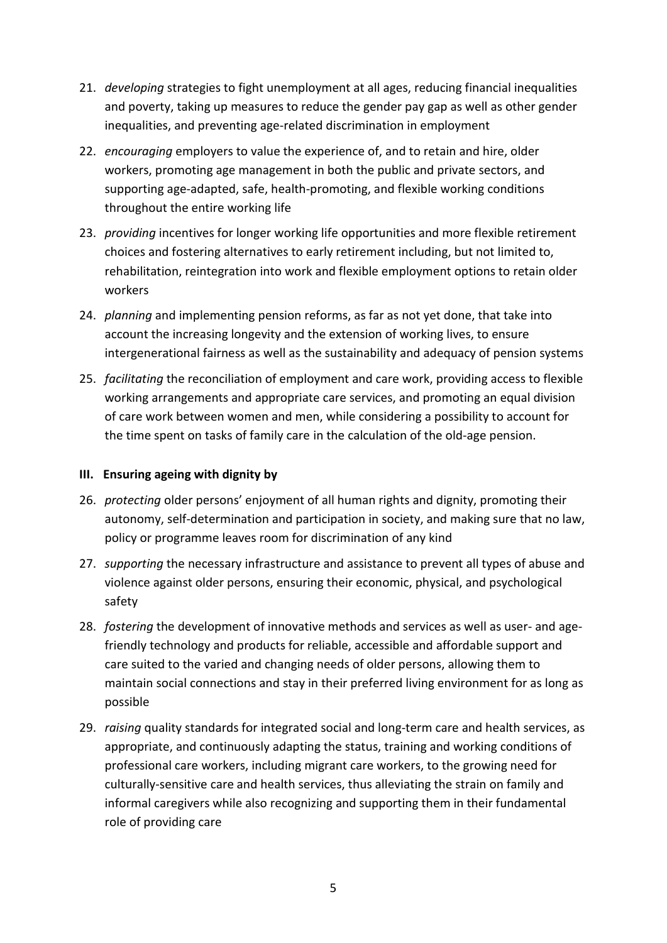- 21. *developing* strategies to fight unemployment at all ages, reducing financial inequalities and poverty, taking up measures to reduce the gender pay gap as well as other gender inequalities, and preventing age-related discrimination in employment
- 22. *encouraging* employers to value the experience of, and to retain and hire, older workers, promoting age management in both the public and private sectors, and supporting age-adapted, safe, health-promoting, and flexible working conditions throughout the entire working life
- 23. *providing* incentives for longer working life opportunities and more flexible retirement choices and fostering alternatives to early retirement including, but not limited to, rehabilitation, reintegration into work and flexible employment options to retain older workers
- 24. *planning* and implementing pension reforms, as far as not yet done, that take into account the increasing longevity and the extension of working lives, to ensure intergenerational fairness as well as the sustainability and adequacy of pension systems
- 25. *facilitating* the reconciliation of employment and care work, providing access to flexible working arrangements and appropriate care services, and promoting an equal division of care work between women and men, while considering a possibility to account for the time spent on tasks of family care in the calculation of the old-age pension.

## **III. Ensuring ageing with dignity by**

- 26. *protecting* older persons' enjoyment of all human rights and dignity, promoting their autonomy, self-determination and participation in society, and making sure that no law, policy or programme leaves room for discrimination of any kind
- 27. *supporting* the necessary infrastructure and assistance to prevent all types of abuse and violence against older persons, ensuring their economic, physical, and psychological safety
- 28. *fostering* the development of innovative methods and services as well as user- and agefriendly technology and products for reliable, accessible and affordable support and care suited to the varied and changing needs of older persons, allowing them to maintain social connections and stay in their preferred living environment for as long as possible
- 29. *raising* quality standards for integrated social and long-term care and health services, as appropriate, and continuously adapting the status, training and working conditions of professional care workers, including migrant care workers, to the growing need for culturally-sensitive care and health services, thus alleviating the strain on family and informal caregivers while also recognizing and supporting them in their fundamental role of providing care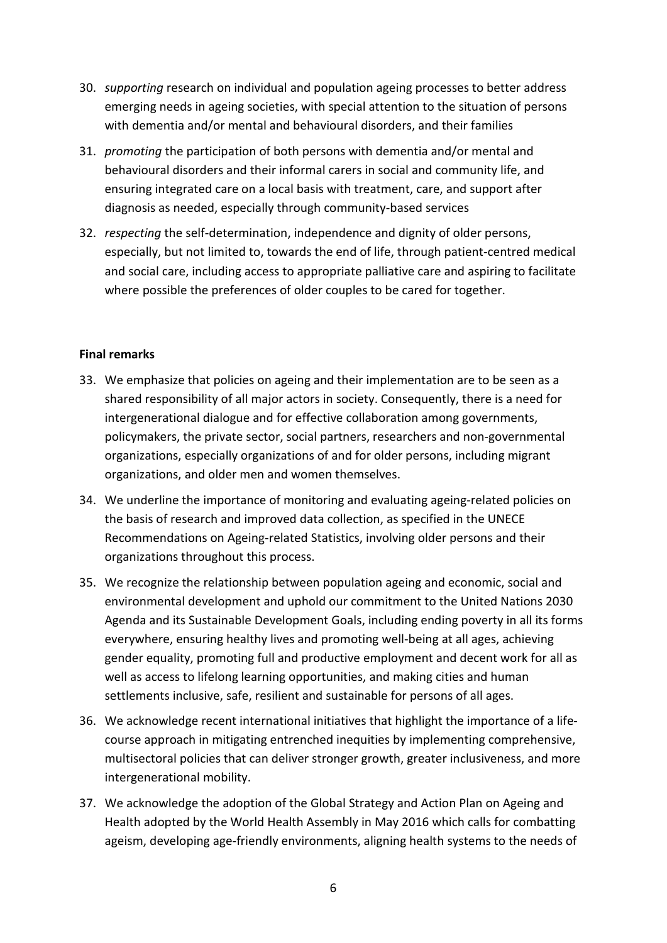- 30. *supporting* research on individual and population ageing processes to better address emerging needs in ageing societies, with special attention to the situation of persons with dementia and/or mental and behavioural disorders, and their families
- 31. *promoting* the participation of both persons with dementia and/or mental and behavioural disorders and their informal carers in social and community life, and ensuring integrated care on a local basis with treatment, care, and support after diagnosis as needed, especially through community-based services
- 32. *respecting* the self-determination, independence and dignity of older persons, especially, but not limited to, towards the end of life, through patient-centred medical and social care, including access to appropriate palliative care and aspiring to facilitate where possible the preferences of older couples to be cared for together.

#### **Final remarks**

- 33. We emphasize that policies on ageing and their implementation are to be seen as a shared responsibility of all major actors in society. Consequently, there is a need for intergenerational dialogue and for effective collaboration among governments, policymakers, the private sector, social partners, researchers and non-governmental organizations, especially organizations of and for older persons, including migrant organizations, and older men and women themselves.
- 34. We underline the importance of monitoring and evaluating ageing-related policies on the basis of research and improved data collection, as specified in the UNECE Recommendations on Ageing-related Statistics, involving older persons and their organizations throughout this process.
- 35. We recognize the relationship between population ageing and economic, social and environmental development and uphold our commitment to the United Nations 2030 Agenda and its Sustainable Development Goals, including ending poverty in all its forms everywhere, ensuring healthy lives and promoting well-being at all ages, achieving gender equality, promoting full and productive employment and decent work for all as well as access to lifelong learning opportunities, and making cities and human settlements inclusive, safe, resilient and sustainable for persons of all ages.
- 36. We acknowledge recent international initiatives that highlight the importance of a lifecourse approach in mitigating entrenched inequities by implementing comprehensive, multisectoral policies that can deliver stronger growth, greater inclusiveness, and more intergenerational mobility.
- 37. We acknowledge the adoption of the Global Strategy and Action Plan on Ageing and Health adopted by the World Health Assembly in May 2016 which calls for combatting ageism, developing age-friendly environments, aligning health systems to the needs of